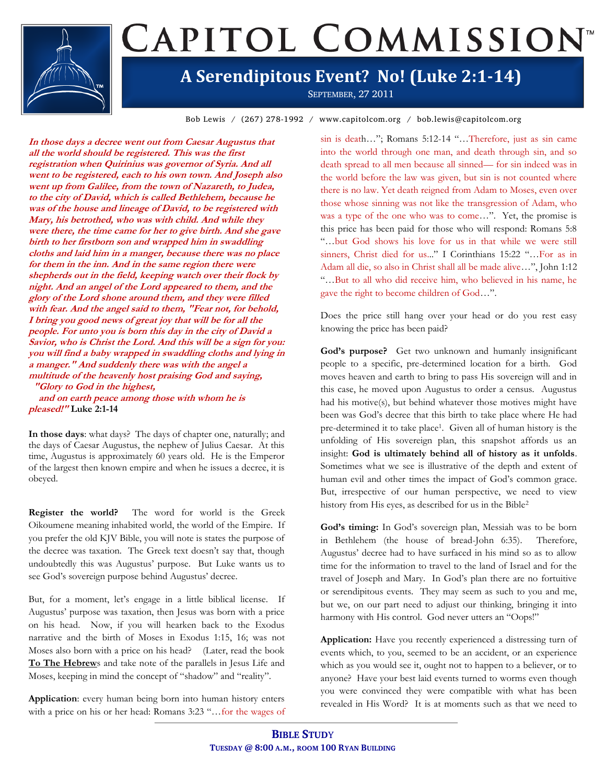## CAPITOL COMMISSION<sup>®</sup> **A Serendipitous Event? No! (Luke 2:1-14)**

SEPTEMBER, 27 2011

Bob Lewis / (267) 278-1992 / www.capitolcom.org / bob.lewis@capitolcom.org

**In those days a decree went out from Caesar Augustus that all the world should be registered. This was the first registration when Quirinius was governor of Syria. And all went to be registered, each to his own town. And Joseph also went up from Galilee, from the town of Nazareth, to Judea, to the city of David, which is called Bethlehem, because he was of the house and lineage of David, to be registered with Mary, his betrothed, who was with child. And while they were there, the time came for her to give birth. And she gave birth to her firstborn son and wrapped him in swaddling cloths and laid him in a manger, because there was no place for them in the inn. And in the same region there were shepherds out in the field, keeping watch over their flock by night. And an angel of the Lord appeared to them, and the glory of the Lord shone around them, and they were filled with fear. And the angel said to them, "Fear not, for behold, I bring you good news of great joy that will be for all the people. For unto you is born this day in the city of David a Savior, who is Christ the Lord. And this will be a sign for you: you will find a baby wrapped in swaddling cloths and lying in a manger." And suddenly there was with the angel a multitude of the heavenly host praising God and saying, "Glory to God in the highest,**

 **and on earth peace among those with whom he is pleased!" Luke 2:1-14**

**In those days**: what days? The days of chapter one, naturally; and the days of Caesar Augustus, the nephew of Julius Caesar. At this time, Augustus is approximately 60 years old. He is the Emperor of the largest then known empire and when he issues a decree, it is obeyed.

**Register the world?** The word for world is the Greek Oikoumene meaning inhabited world, the world of the Empire. If you prefer the old KJV Bible, you will note is states the purpose of the decree was taxation. The Greek text doesn't say that, though undoubtedly this was Augustus' purpose. But Luke wants us to see God's sovereign purpose behind Augustus' decree.

But, for a moment, let's engage in a little biblical license. If Augustus' purpose was taxation, then Jesus was born with a price on his head. Now, if you will hearken back to the Exodus narrative and the birth of Moses in Exodus 1:15, 16; was not Moses also born with a price on his head? (Later, read the book **To The Hebrew**s and take note of the parallels in Jesus Life and Moses, keeping in mind the concept of "shadow" and "reality".

**Application**: every human being born into human history enters with a price on his or her head: Romans 3:23 "…for the wages of

sin is death…"; Romans 5:12-14 "…Therefore, just as sin came into the world through one man, and death through sin, and so death spread to all men because all sinned— for sin indeed was in the world before the law was given, but sin is not counted where there is no law. Yet death reigned from Adam to Moses, even over those whose sinning was not like the transgression of Adam, who was a type of the one who was to come…". Yet, the promise is this price has been paid for those who will respond: Romans 5:8 "…but God shows his love for us in that while we were still sinners, Christ died for us..." I Corinthians 15:22 "…For as in Adam all die, so also in Christ shall all be made alive…", John 1:12 "…But to all who did receive him, who believed in his name, he gave the right to become children of God…".

Does the price still hang over your head or do you rest easy knowing the price has been paid?

**God's purpose?** Get two unknown and humanly insignificant people to a specific, pre-determined location for a birth. God moves heaven and earth to bring to pass His sovereign will and in this case, he moved upon Augustus to order a census. Augustus had his motive(s), but behind whatever those motives might have been was God's decree that this birth to take place where He had pre-determined it to take place<sup>1</sup>. Given all of human history is the unfolding of His sovereign plan, this snapshot affords us an insight: **God is ultimately behind all of history as it unfolds**. Sometimes what we see is illustrative of the depth and extent of human evil and other times the impact of God's common grace. But, irrespective of our human perspective, we need to view history from His eyes, as described for us in the Bible<sup>2</sup>

**God's timing:** In God's sovereign plan, Messiah was to be born in Bethlehem (the house of bread-John 6:35). Therefore, Augustus' decree had to have surfaced in his mind so as to allow time for the information to travel to the land of Israel and for the travel of Joseph and Mary. In God's plan there are no fortuitive or serendipitous events. They may seem as such to you and me, but we, on our part need to adjust our thinking, bringing it into harmony with His control. God never utters an "Oops!"

**Application:** Have you recently experienced a distressing turn of events which, to you, seemed to be an accident, or an experience which as you would see it, ought not to happen to a believer, or to anyone? Have your best laid events turned to worms even though you were convinced they were compatible with what has been revealed in His Word? It is at moments such as that we need to